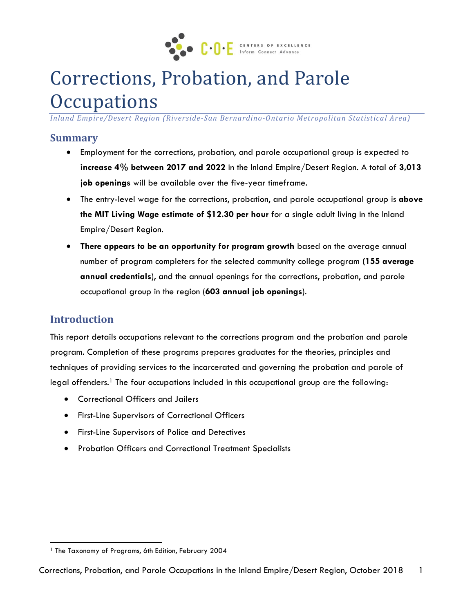

# Corrections, Probation, and Parole **Occupations**

*Inland Empire/Desert Region (Riverside-San Bernardino-Ontario Metropolitan Statistical Area)*

#### **Summary**

- Employment for the corrections, probation, and parole occupational group is expected to **increase 4% between 2017 and 2022** in the Inland Empire/Desert Region. A total of **3,013 job openings** will be available over the five-year timeframe.
- The entry-level wage for the corrections, probation, and parole occupational group is **above the MIT Living Wage estimate of \$12.30 per hour** for a single adult living in the Inland Empire/Desert Region.
- **There appears to be an opportunity for program growth** based on the average annual number of program completers for the selected community college program **(155 average annual credentials**), and the annual openings for the corrections, probation, and parole occupational group in the region (**603 annual job openings**).

## **Introduction**

 $\ddot{\phantom{a}}$ 

This report details occupations relevant to the corrections program and the probation and parole program. Completion of these programs prepares graduates for the theories, principles and techniques of providing services to the incarcerated and governing the probation and parole of legal offenders.<sup>1</sup> The four occupations included in this occupational group are the following:

- Correctional Officers and Jailers
- First-Line Supervisors of Correctional Officers
- First-Line Supervisors of Police and Detectives
- Probation Officers and Correctional Treatment Specialists

<sup>&</sup>lt;sup>1</sup> The Taxonomy of Programs, 6th Edition, February 2004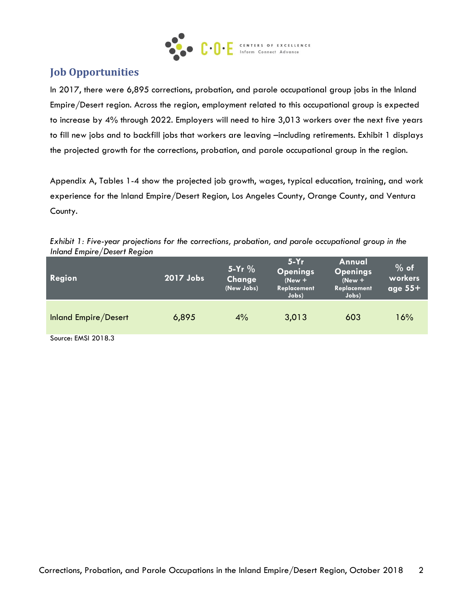

# **Job Opportunities**

In 2017, there were 6,895 corrections, probation, and parole occupational group jobs in the Inland Empire/Desert region. Across the region, employment related to this occupational group is expected to increase by 4% through 2022. Employers will need to hire 3,013 workers over the next five years to fill new jobs and to backfill jobs that workers are leaving –including retirements. Exhibit 1 displays the projected growth for the corrections, probation, and parole occupational group in the region.

Appendix A, Tables 1-4 show the projected job growth, wages, typical education, training, and work experience for the Inland Empire/Desert Region, Los Angeles County, Orange County, and Ventura County.

| Inland Empire/Desert Region |           |                                  |                                                               |                                                               |                                |
|-----------------------------|-----------|----------------------------------|---------------------------------------------------------------|---------------------------------------------------------------|--------------------------------|
| Region                      | 2017 Jobs | 5-Yr $%$<br>Change<br>(New Jobs) | $5-Yr$<br><b>Openings</b><br>$(New +$<br>Replacement<br>Jobs) | Annual<br><b>Openings</b><br>$(New +$<br>Replacement<br>Jobs) | $%$ of<br>workers<br>age $55+$ |
|                             |           |                                  |                                                               |                                                               |                                |

Inland Empire/Desert 6,895 4% 3,013 603 16%

*Exhibit 1: Five-year projections for the corrections, probation, and parole occupational group in the Inland Empire/Desert Region*

Source: EMSI 2018.3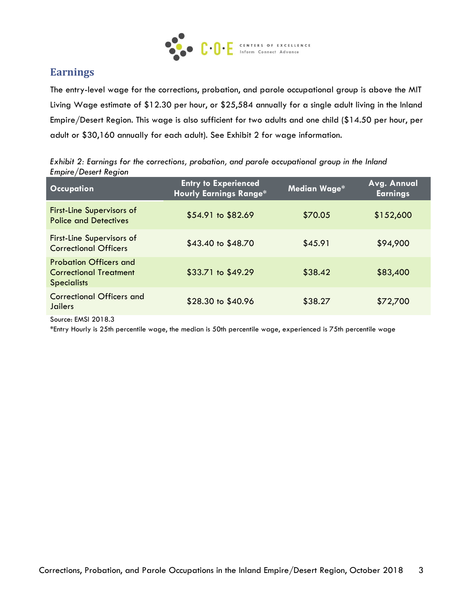

# **Earnings**

The entry-level wage for the corrections, probation, and parole occupational group is above the MIT Living Wage estimate of \$12.30 per hour, or \$25,584 annually for a single adult living in the Inland Empire/Desert Region. This wage is also sufficient for two adults and one child (\$14.50 per hour, per adult or \$30,160 annually for each adult). See Exhibit 2 for wage information.

|                      | Exhibit 2: Earnings for the corrections, probation, and parole occupational group in the Inland |  |  |  |
|----------------------|-------------------------------------------------------------------------------------------------|--|--|--|
| Empire/Desert Region |                                                                                                 |  |  |  |

| <b>Occupation</b>                                                                    | <b>Entry to Experienced</b><br><b>Hourly Earnings Range*</b> | Median Wage* | Avg. Annual<br><b>Earnings</b> |
|--------------------------------------------------------------------------------------|--------------------------------------------------------------|--------------|--------------------------------|
| <b>First-Line Supervisors of</b><br><b>Police and Detectives</b>                     | \$54.91 to \$82.69                                           | \$70.05      | \$152,600                      |
| <b>First-Line Supervisors of</b><br><b>Correctional Officers</b>                     | \$43.40 to \$48.70                                           | \$45.91      | \$94,900                       |
| <b>Probation Officers and</b><br><b>Correctional Treatment</b><br><b>Specialists</b> | \$33.71 to \$49.29                                           | \$38.42      | \$83,400                       |
| <b>Correctional Officers and</b><br>Jailers                                          | \$28.30 to \$40.96                                           | \$38.27      | \$72,700                       |

Source: EMSI 2018.3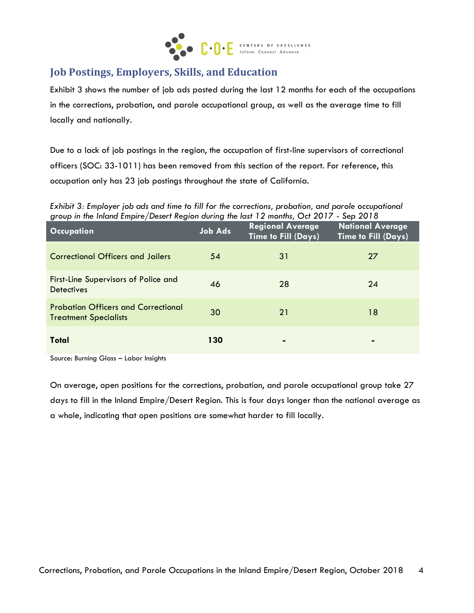

# **Job Postings, Employers, Skills, and Education**

Exhibit 3 shows the number of job ads posted during the last 12 months for each of the occupations in the corrections, probation, and parole occupational group, as well as the average time to fill locally and nationally.

Due to a lack of job postings in the region, the occupation of first-line supervisors of correctional officers (SOC: 33-1011) has been removed from this section of the report. For reference, this occupation only has 23 job postings throughout the state of California.

*Exhibit 3: Employer job ads and time to fill for the corrections, probation, and parole occupational group in the Inland Empire/Desert Region during the last 12 months, Oct 2017 - Sep 2018*

| <b>Occupation</b>                                                          | <b>Job Ads</b> | <b>Regional Average</b><br>Time to Fill (Days) | <b>National Average</b><br><b>Time to Fill (Days)</b> |
|----------------------------------------------------------------------------|----------------|------------------------------------------------|-------------------------------------------------------|
| <b>Correctional Officers and Jailers</b>                                   | 54             | 31                                             | 27                                                    |
| First-Line Supervisors of Police and<br><b>Detectives</b>                  | 46             | 28                                             | 24                                                    |
| <b>Probation Officers and Correctional</b><br><b>Treatment Specialists</b> | 30             | 21                                             | 18                                                    |
| <b>Total</b>                                                               | 130            |                                                |                                                       |

Source: Burning Glass – Labor Insights

On average, open positions for the corrections, probation, and parole occupational group take 27 days to fill in the Inland Empire/Desert Region. This is four days longer than the national average as a whole, indicating that open positions are somewhat harder to fill locally.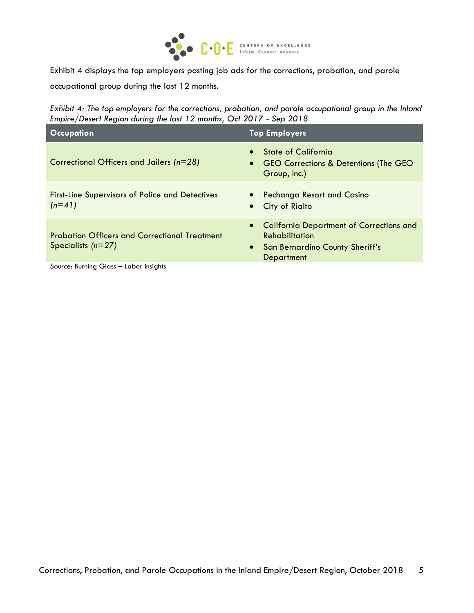

Exhibit 4 displays the top employers posting job ads for the corrections, probation, and parole occupational group during the last 12 months.

*Exhibit 4: The top employers for the corrections, probation, and parole occupational group in the Inland Empire/Desert Region during the last 12 months, Oct 2017 - Sep 2018*

| <b>Occupation</b>                                                            | <b>Top Employers</b>                                                                                                                     |
|------------------------------------------------------------------------------|------------------------------------------------------------------------------------------------------------------------------------------|
| Correctional Officers and Jailers ( $n=28$ )                                 | <b>State of California</b><br>$\bullet$<br><b>GEO Corrections &amp; Detentions (The GEO</b><br>$\bullet$<br>Group, Inc.)                 |
| <b>First-Line Supervisors of Police and Detectives</b><br>$(n=41)$           | <b>Pechanga Resort and Casino</b><br>City of Rialto<br>$\bullet$                                                                         |
| <b>Probation Officers and Correctional Treatment</b><br>Specialists $(n=27)$ | <b>California Department of Corrections and</b><br>$\bullet$<br><b>Rehabilitation</b><br>• San Bernardino County Sheriff's<br>Department |
| Source: Burning Glass - Labor Insights                                       |                                                                                                                                          |

Corrections, Probation, and Parole Occupations in the Inland Empire/Desert Region, October 2018 5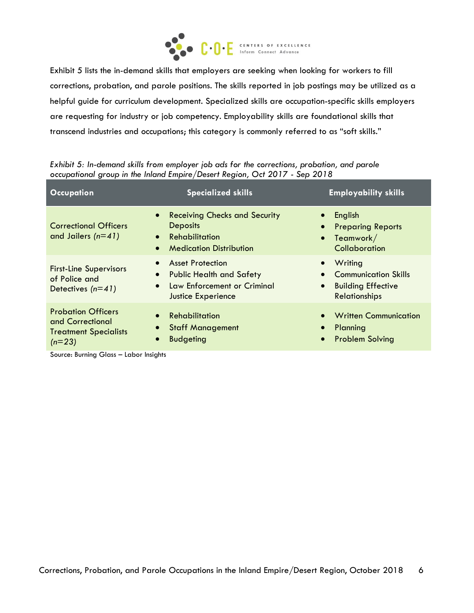

Exhibit 5 lists the in-demand skills that employers are seeking when looking for workers to fill corrections, probation, and parole positions. The skills reported in job postings may be utilized as a helpful guide for curriculum development. Specialized skills are occupation-specific skills employers are requesting for industry or job competency. Employability skills are foundational skills that transcend industries and occupations; this category is commonly referred to as "soft skills."

| occupational group in the Inland Empire/Desert Region, Oct 2017 - Sep 2018 |                                                                      |                                     |  |  |  |
|----------------------------------------------------------------------------|----------------------------------------------------------------------|-------------------------------------|--|--|--|
| <b>Occupation</b>                                                          | <b>Specialized skills</b>                                            | <b>Employability skills</b>         |  |  |  |
| <b>Correctional Officers</b>                                               | <b>Receiving Checks and Security</b><br>$\bullet$<br><b>Deposits</b> | English<br><b>Preparing Reports</b> |  |  |  |

 $\bullet$  Teamwork/ **Collaboration** 

**Writing** 

Communication Skills

*Exhibit 5: In-demand skills from employer job ads for the corrections, probation, and parole occupational group in the Inland Empire/Desert Region, Oct 2017 - Sep 2018*

Medication Distribution

Public Health and Safety

**Rehabilitation** 

Asset Protection

| of Police and<br>Detectives $(n=41)$                                                      | • PUDIIC HEAITH AND SATELY<br>Law Enforcement or Criminal<br><b>Justice Experience</b> | <b>•</b> Communication Skills<br><b>Building Effective</b><br>$\bullet$<br><b>Relationships</b> |
|-------------------------------------------------------------------------------------------|----------------------------------------------------------------------------------------|-------------------------------------------------------------------------------------------------|
| <b>Probation Officers</b><br>and Correctional<br><b>Treatment Specialists</b><br>$(n=23)$ | Rehabilitation<br><b>Staff Management</b><br><b>Budgeting</b>                          | • Written Communication<br>Planning<br>• Problem Solving                                        |

Source: Burning Glass – Labor Insights

and Jailers *(n=41)*

First-Line Supervisors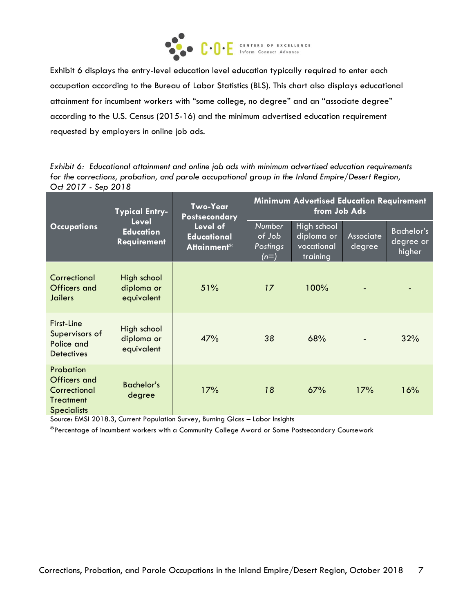

Exhibit 6 displays the entry-level education level education typically required to enter each occupation according to the Bureau of Labor Statistics (BLS). This chart also displays educational attainment for incumbent workers with "some college, no degree" and an "associate degree" according to the U.S. Census (2015-16) and the minimum advertised education requirement requested by employers in online job ads.

*Exhibit 6: Educational attainment and online job ads with minimum advertised education requirements for the corrections, probation, and parole occupational group in the Inland Empire/Desert Region, Oct 2017 - Sep 2018*

|                                                                                                                        | <b>Typical Entry-</b>                   | <b>Two-Year</b><br><b>Postsecondary</b>              | <b>Minimum Advertised Education Requirement</b><br>from Job Ads |                     |                                          |     |
|------------------------------------------------------------------------------------------------------------------------|-----------------------------------------|------------------------------------------------------|-----------------------------------------------------------------|---------------------|------------------------------------------|-----|
| Level<br>Level of<br><b>Occupations</b><br><b>Education</b><br><b>Educational</b><br><b>Requirement</b><br>Attainment* |                                         | <b>Number</b><br>of Job<br><b>Postings</b><br>$(n=)$ | High school<br>diploma or<br>vocational<br>training             | Associate<br>degree | <b>Bachelor's</b><br>degree or<br>higher |     |
| Correctional<br><b>Officers and</b><br>Jailers                                                                         | High school<br>diploma or<br>equivalent | 51%                                                  | 17                                                              | 100%                |                                          |     |
| First-Line<br>Supervisors of<br>Police and<br><b>Detectives</b>                                                        | High school<br>diploma or<br>equivalent | 47%                                                  | 38                                                              | 68%                 |                                          | 32% |
| Probation<br>Officers and<br>Correctional<br>Treatment<br><b>Specialists</b>                                           | Bachelor's<br>degree                    | 17%                                                  | 18                                                              | 67%                 | 17%                                      | 16% |

Source: EMSI 2018.3, Current Population Survey, Burning Glass – Labor Insights

\*Percentage of incumbent workers with a Community College Award or Some Postsecondary Coursework)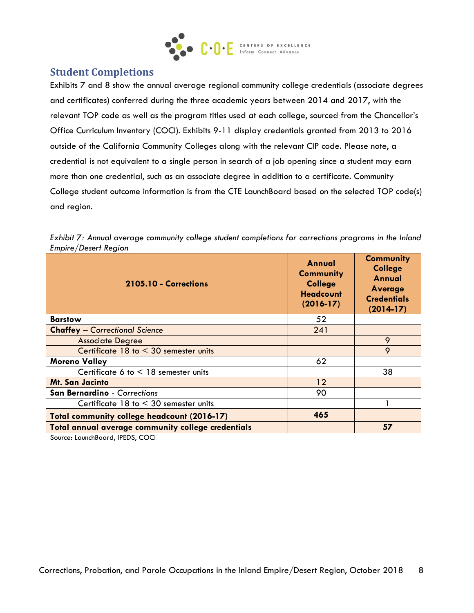

# **Student Completions**

Exhibits 7 and 8 show the annual average regional community college credentials (associate degrees and certificates) conferred during the three academic years between 2014 and 2017, with the relevant TOP code as well as the program titles used at each college, sourced from the Chancellor's Office Curriculum Inventory (COCI). Exhibits 9-11 display credentials granted from 2013 to 2016 outside of the California Community Colleges along with the relevant CIP code. Please note, a credential is not equivalent to a single person in search of a job opening since a student may earn more than one credential, such as an associate degree in addition to a certificate. Community College student outcome information is from the CTE LaunchBoard based on the selected TOP code(s) and region.

| Lilipii e <i>pesei Li</i> legion<br>2105.10 - Corrections | Annual<br><b>Community</b><br><b>College</b><br><b>Headcount</b><br>$(2016-17)$ | <b>Community</b><br><b>College</b><br>Annual<br>Average<br><b>Credentials</b><br>$(2014-17)$ |
|-----------------------------------------------------------|---------------------------------------------------------------------------------|----------------------------------------------------------------------------------------------|
| <b>Barstow</b>                                            | 52                                                                              |                                                                                              |
| <b>Chaffey - Correctional Science</b>                     | 241                                                                             |                                                                                              |
| <b>Associate Degree</b>                                   |                                                                                 | 9                                                                                            |
| Certificate $18$ to $\leq 30$ semester units              |                                                                                 | 9                                                                                            |
| <b>Moreno Valley</b>                                      | 62                                                                              |                                                                                              |
| Certificate 6 to $<$ 18 semester units                    |                                                                                 | 38                                                                                           |
| <b>Mt. San Jacinto</b>                                    | 12                                                                              |                                                                                              |
| San Bernardino - Corrections                              | 90                                                                              |                                                                                              |
| Certificate $18$ to $\leq 30$ semester units              |                                                                                 |                                                                                              |
| Total community college headcount (2016-17)               | 465                                                                             |                                                                                              |
| Total annual average community college credentials        |                                                                                 | 57                                                                                           |

|                      |  | Exhibit 7: Annual average community college student completions for corrections programs in the Inland |  |  |
|----------------------|--|--------------------------------------------------------------------------------------------------------|--|--|
| Empire/Desert Region |  |                                                                                                        |  |  |

Source: LaunchBoard, IPEDS, COCI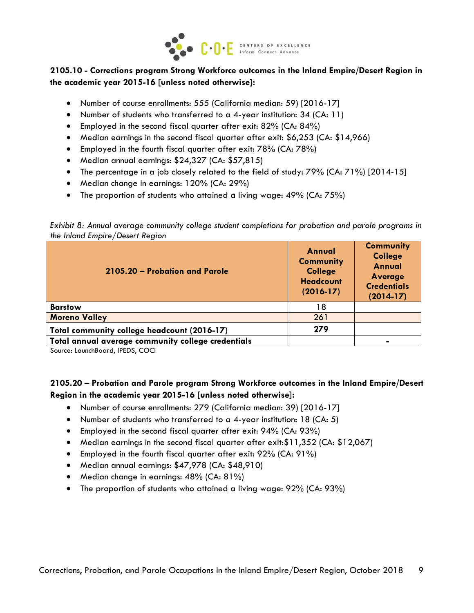

#### **2105.10 - Corrections program Strong Workforce outcomes in the Inland Empire/Desert Region in the academic year 2015-16 [unless noted otherwise]:**

- Number of course enrollments: 555 (California median: 59) [2016-17]
- Number of students who transferred to a 4-year institution: 34 (CA: 11)
- Employed in the second fiscal quarter after exit: 82% (CA: 84%)
- Median earnings in the second fiscal quarter after exit: \$6,253 (CA: \$14,966)
- Employed in the fourth fiscal quarter after exit: 78% (CA: 78%)
- Median annual earnings: \$24,327 (CA: \$57,815)
- The percentage in a job closely related to the field of study: 79% (CA: 71%) [2014-15]
- Median change in earnings: 120% (CA: 29%)
- The proportion of students who attained a living wage: 49% (CA: 75%)

*Exhibit 8: Annual average community college student completions for probation and parole programs in the Inland Empire/Desert Region*

| 2105.20 – Probation and Parole                     | Annual<br><b>Community</b><br><b>College</b><br><b>Headcount</b><br>$(2016-17)$ | <b>Community</b><br><b>College</b><br><b>Annual</b><br>Average<br><b>Credentials</b><br>$(2014-17)$ |
|----------------------------------------------------|---------------------------------------------------------------------------------|-----------------------------------------------------------------------------------------------------|
| <b>Barstow</b>                                     | 18                                                                              |                                                                                                     |
| <b>Moreno Valley</b>                               | 261                                                                             |                                                                                                     |
| Total community college headcount (2016-17)        | 279                                                                             |                                                                                                     |
| Total annual average community college credentials |                                                                                 |                                                                                                     |

Source: LaunchBoard, IPEDS, COCI

#### **2105.20 – Probation and Parole program Strong Workforce outcomes in the Inland Empire/Desert Region in the academic year 2015-16 [unless noted otherwise]:**

- Number of course enrollments: 279 (California median: 39) [2016-17]
- Number of students who transferred to a 4-year institution: 18 (CA: 5)
- Employed in the second fiscal quarter after exit: 94% (CA: 93%)
- Median earnings in the second fiscal quarter after exit:\$11,352 (CA: \$12,067)
- Employed in the fourth fiscal quarter after exit: 92% (CA: 91%)
- Median annual earnings: \$47,978 (CA: \$48,910)
- Median change in earnings: 48% (CA: 81%)
- The proportion of students who attained a living wage: 92% (CA: 93%)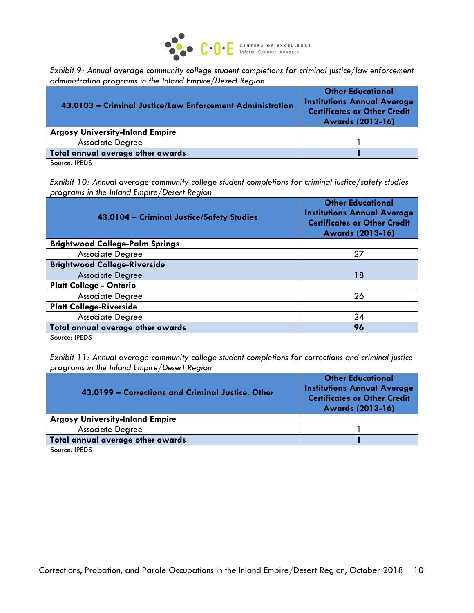

*Exhibit 9: Annual average community college student completions for criminal justice/law enforcement administration programs in the Inland Empire/Desert Region*

| 43.0103 - Criminal Justice/Law Enforcement Administration | <b>Other Educational</b><br><b>Institutions Annual Average</b><br><b>Certificates or Other Credit</b><br><b>Awards (2013-16)</b> |
|-----------------------------------------------------------|----------------------------------------------------------------------------------------------------------------------------------|
| <b>Argosy University-Inland Empire</b>                    |                                                                                                                                  |
| <b>Associate Degree</b>                                   |                                                                                                                                  |
| Total annual average other awards                         |                                                                                                                                  |
|                                                           |                                                                                                                                  |

Source: IPEDS

*Exhibit 10: Annual average community college student completions for criminal justice/safety studies programs in the Inland Empire/Desert Region*

| 43.0104 - Criminal Justice/Safety Studies | <b>Other Educational</b><br><b>Institutions Annual Average</b><br><b>Certificates or Other Credit</b><br>Awards (2013-16) |
|-------------------------------------------|---------------------------------------------------------------------------------------------------------------------------|
| <b>Brightwood College-Palm Springs</b>    |                                                                                                                           |
| <b>Associate Degree</b>                   | 27                                                                                                                        |
| <b>Brightwood College-Riverside</b>       |                                                                                                                           |
| <b>Associate Degree</b>                   | 18                                                                                                                        |
| <b>Platt College - Ontario</b>            |                                                                                                                           |
| <b>Associate Degree</b>                   | 26                                                                                                                        |
| <b>Platt College-Riverside</b>            |                                                                                                                           |
| <b>Associate Degree</b>                   | 24                                                                                                                        |
| Total annual average other awards         | 96                                                                                                                        |
| $\sim$<br>$I = I$                         |                                                                                                                           |

Source: IPEDS

*Exhibit 11: Annual average community college student completions for corrections and criminal justice programs in the Inland Empire/Desert Region*

| 43.0199 – Corrections and Criminal Justice, Other | <b>Other Educational</b><br><b>Institutions Annual Average</b><br><b>Certificates or Other Credit</b><br><b>Awards (2013-16)</b> |
|---------------------------------------------------|----------------------------------------------------------------------------------------------------------------------------------|
| <b>Argosy University-Inland Empire</b>            |                                                                                                                                  |
| <b>Associate Degree</b>                           |                                                                                                                                  |
| Total annual average other awards                 |                                                                                                                                  |
|                                                   |                                                                                                                                  |

Source: IPEDS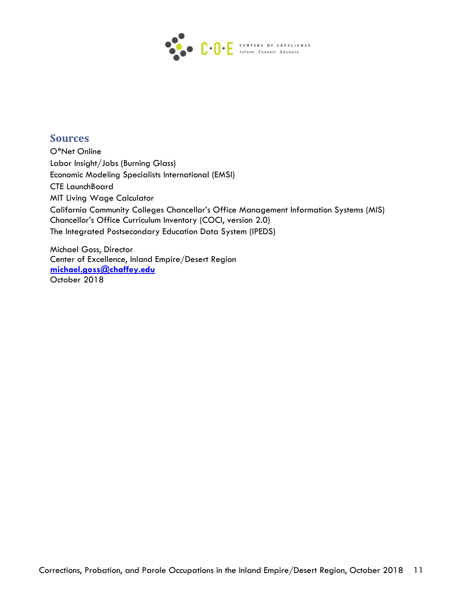

## **Sources**

O\*Net Online Labor Insight/Jobs (Burning Glass) Economic Modeling Specialists International (EMSI) CTE LaunchBoard MIT Living Wage Calculator California Community Colleges Chancellor's Office Management Information Systems (MIS) Chancellor's Office Curriculum Inventory (COCI, version 2.0) The Integrated Postsecondary Education Data System (IPEDS)

Michael Goss, Director Center of Excellence, Inland Empire/Desert Region **[michael.goss@chaffey.edu](mailto:michael.goss@chaffey.edu)** October 2018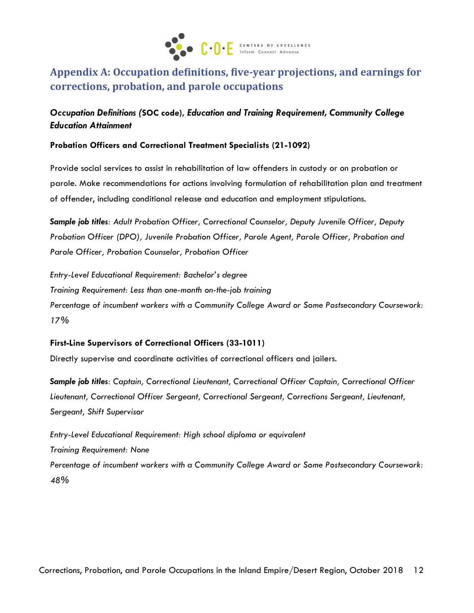

# **Appendix A: Occupation definitions, five-year projections, and earnings for corrections, probation, and parole occupations**

## *Occupation Definitions (***SOC code),** *Education and Training Requirement, Community College Education Attainment*

#### **Probation Officers and Correctional Treatment Specialists (21-1092)**

Provide social services to assist in rehabilitation of law offenders in custody or on probation or parole. Make recommendations for actions involving formulation of rehabilitation plan and treatment of offender, including conditional release and education and employment stipulations.

*Sample job titles: Adult Probation Officer, Correctional Counselor, Deputy Juvenile Officer, Deputy Probation Officer (DPO), Juvenile Probation Officer, Parole Agent, Parole Officer, Probation and Parole Officer, Probation Counselor, Probation Officer*

*Entry-Level Educational Requirement: Bachelor's degree Training Requirement: Less than one-month on-the-job training Percentage of incumbent workers with a Community College Award or Some Postsecondary Coursework: 17%*

#### **First-Line Supervisors of Correctional Officers (33-1011)**

Directly supervise and coordinate activities of correctional officers and jailers.

*Sample job titles: Captain, Correctional Lieutenant, Correctional Officer Captain, Correctional Officer Lieutenant, Correctional Officer Sergeant, Correctional Sergeant, Corrections Sergeant, Lieutenant, Sergeant, Shift Supervisor*

*Entry-Level Educational Requirement: High school diploma or equivalent Training Requirement: None Percentage of incumbent workers with a Community College Award or Some Postsecondary Coursework: 48%*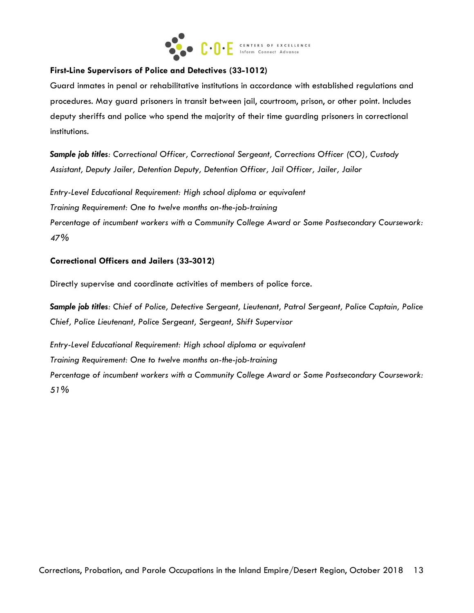

#### **First-Line Supervisors of Police and Detectives (33-1012)**

Guard inmates in penal or rehabilitative institutions in accordance with established regulations and procedures. May guard prisoners in transit between jail, courtroom, prison, or other point. Includes deputy sheriffs and police who spend the majority of their time guarding prisoners in correctional institutions.

*Sample job titles: Correctional Officer, Correctional Sergeant, Corrections Officer (CO), Custody Assistant, Deputy Jailer, Detention Deputy, Detention Officer, Jail Officer, Jailer, Jailor*

*Entry-Level Educational Requirement: High school diploma or equivalent*

*Training Requirement: One to twelve months on-the-job-training*

*Percentage of incumbent workers with a Community College Award or Some Postsecondary Coursework: 47%*

#### **Correctional Officers and Jailers (33-3012)**

Directly supervise and coordinate activities of members of police force.

*Sample job titles: Chief of Police, Detective Sergeant, Lieutenant, Patrol Sergeant, Police Captain, Police Chief, Police Lieutenant, Police Sergeant, Sergeant, Shift Supervisor*

*Entry-Level Educational Requirement: High school diploma or equivalent Training Requirement: One to twelve months on-the-job-training Percentage of incumbent workers with a Community College Award or Some Postsecondary Coursework: 51%*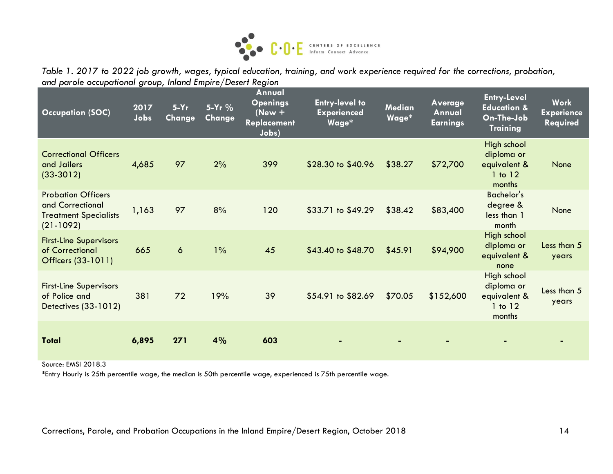

*Table 1. 2017 to 2022 job growth, wages, typical education, training, and work experience required for the corrections, probation, and parole occupational group, Inland Empire/Desert Region*

| <b>Occupation (SOC)</b>                                                                      | 2017<br>Jobs | $5-Yr$<br><b>Change</b> | 5-Yr %<br><b>Change</b> | Annual<br><b>Openings</b><br>$(New +$<br><b>Replacement</b><br>Jobs) | <b>Entry-level to</b><br><b>Experienced</b><br>Wage* | <b>Median</b><br>Wage* | Average<br>Annual<br><b>Earnings</b> | <b>Entry-Level</b><br><b>Education &amp;</b><br>On-The-Job<br><b>Training</b> | <b>Work</b><br><b>Experience</b><br><b>Required</b> |
|----------------------------------------------------------------------------------------------|--------------|-------------------------|-------------------------|----------------------------------------------------------------------|------------------------------------------------------|------------------------|--------------------------------------|-------------------------------------------------------------------------------|-----------------------------------------------------|
| <b>Correctional Officers</b><br>and Jailers<br>$(33-3012)$                                   | 4,685        | 97                      | 2%                      | 399                                                                  | \$28.30 to \$40.96                                   | \$38.27                | \$72,700                             | High school<br>diploma or<br>equivalent &<br>1 to 12<br>months                | None                                                |
| <b>Probation Officers</b><br>and Correctional<br><b>Treatment Specialists</b><br>$(21-1092)$ | 1,163        | 97                      | 8%                      | 120                                                                  | \$33.71 to \$49.29                                   | \$38.42                | \$83,400                             | <b>Bachelor's</b><br>degree &<br>less than 1<br>month                         | None                                                |
| <b>First-Line Supervisors</b><br>of Correctional<br>Officers (33-1011)                       | 665          | $\boldsymbol{6}$        | $1\%$                   | 45                                                                   | \$43.40 to \$48.70                                   | \$45.91                | \$94,900                             | High school<br>diploma or<br>equivalent &<br>none                             | Less than 5<br>years                                |
| <b>First-Line Supervisors</b><br>of Police and<br>Detectives (33-1012)                       | 381          | 72                      | 19%                     | 39                                                                   | \$54.91 to \$82.69                                   | \$70.05                | \$152,600                            | High school<br>diploma or<br>equivalent &<br>$1$ to $12$<br>months            | Less than 5<br>years                                |
| <b>Total</b>                                                                                 | 6,895        | 271                     | 4%                      | 603                                                                  |                                                      |                        |                                      |                                                                               |                                                     |

Source: EMSI 2018.3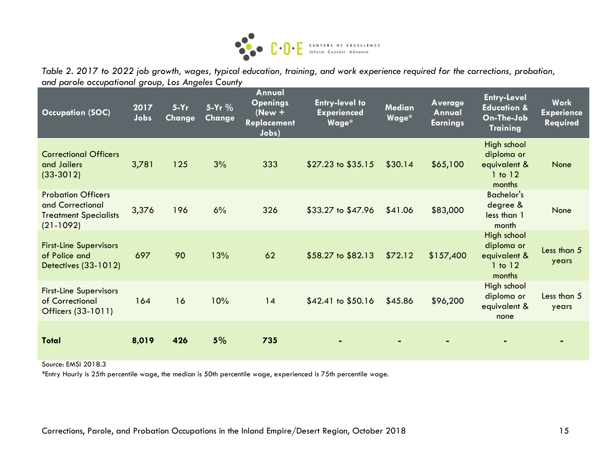

*Table 2. 2017 to 2022 job growth, wages, typical education, training, and work experience required for the corrections, probation, and parole occupational group, Los Angeles County*

| <b>Occupation (SOC)</b>                                                                      | 2017<br>Jobs | $5-Yr$<br>Change | 5-Yr %<br>Change | Annual<br><b>Openings</b><br>$New +$<br><b>Replacement</b><br>Jobs) | <b>Entry-level to</b><br><b>Experienced</b><br>Wage* | <b>Median</b><br>Wage* | <b>Average</b><br>Annual<br><b>Earnings</b> | <b>Entry-Level</b><br><b>Education &amp;</b><br>On-The-Job<br><b>Training</b> | <b>Work</b><br><b>Experience</b><br><b>Required</b> |
|----------------------------------------------------------------------------------------------|--------------|------------------|------------------|---------------------------------------------------------------------|------------------------------------------------------|------------------------|---------------------------------------------|-------------------------------------------------------------------------------|-----------------------------------------------------|
| <b>Correctional Officers</b><br>and Jailers<br>$(33-3012)$                                   | 3,781        | 125              | 3%               | 333                                                                 | \$27.23 to \$35.15                                   | \$30.14                | \$65,100                                    | High school<br>diploma or<br>equivalent &<br>1 to 12<br>months                | None                                                |
| <b>Probation Officers</b><br>and Correctional<br><b>Treatment Specialists</b><br>$(21-1092)$ | 3,376        | 196              | 6%               | 326                                                                 | \$33.27 to \$47.96                                   | \$41.06                | \$83,000                                    | <b>Bachelor's</b><br>degree &<br>less than 1<br>month                         | None                                                |
| <b>First-Line Supervisors</b><br>of Police and<br>Detectives (33-1012)                       | 697          | 90               | 13%              | 62                                                                  | \$58.27 to \$82.13                                   | \$72.12                | \$157,400                                   | High school<br>diploma or<br>equivalent &<br>1 to 12<br>months                | Less than 5<br>years                                |
| <b>First-Line Supervisors</b><br>of Correctional<br>Officers (33-1011)                       | 164          | 16               | 10%              | 14                                                                  | \$42.41 to \$50.16                                   | \$45.86                | \$96,200                                    | High school<br>diploma or<br>equivalent &<br>none                             | Less than 5<br>years                                |
| <b>Total</b>                                                                                 | 8,019        | 426              | 5%               | 735                                                                 |                                                      |                        |                                             |                                                                               |                                                     |

Source: EMSI 2018.3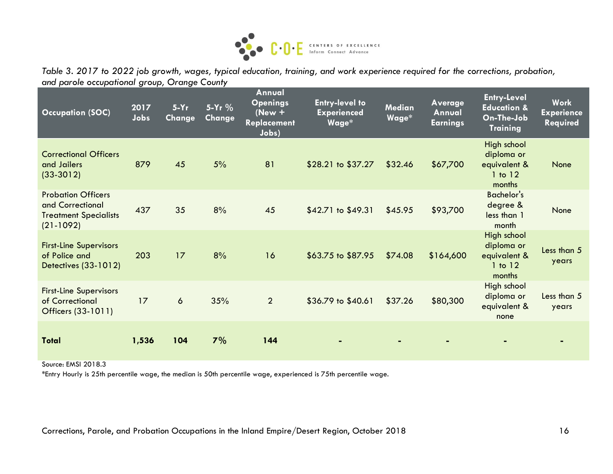

*Table 3. 2017 to 2022 job growth, wages, typical education, training, and work experience required for the corrections, probation, and parole occupational group, Orange County*

| <b>Occupation (SOC)</b>                                                                      | 2017<br>Jobs | $5-Yr$<br>Change | 5-Yr $%$<br>Change | Annual<br><b>Openings</b><br>(New $+$<br>Replacement<br>Jobs) | <b>Entry-level to</b><br><b>Experienced</b><br>Wage* | <b>Median</b><br>Wage* | Average<br>Annual<br><b>Earnings</b> | <b>Entry-Level</b><br><b>Education &amp;</b><br>On-The-Job<br><b>Training</b> | <b>Work</b><br><b>Experience</b><br>Required |
|----------------------------------------------------------------------------------------------|--------------|------------------|--------------------|---------------------------------------------------------------|------------------------------------------------------|------------------------|--------------------------------------|-------------------------------------------------------------------------------|----------------------------------------------|
| <b>Correctional Officers</b><br>and Jailers<br>$(33-3012)$                                   | 879          | 45               | 5%                 | 81                                                            | \$28.21 to \$37.27                                   | \$32.46                | \$67,700                             | High school<br>diploma or<br>equivalent &<br>$1$ to $12$<br>months            | None                                         |
| <b>Probation Officers</b><br>and Correctional<br><b>Treatment Specialists</b><br>$(21-1092)$ | 437          | 35               | 8%                 | 45                                                            | \$42.71 to \$49.31                                   | \$45.95                | \$93,700                             | <b>Bachelor's</b><br>degree &<br>less than 1<br>month                         | None                                         |
| <b>First-Line Supervisors</b><br>of Police and<br>Detectives (33-1012)                       | 203          | 17               | 8%                 | 16                                                            | \$63.75 to \$87.95                                   | \$74.08                | \$164,600                            | High school<br>diploma or<br>equivalent &<br>$1$ to $12$<br>months            | Less than 5<br>years                         |
| <b>First-Line Supervisors</b><br>of Correctional<br>Officers (33-1011)                       | 17           | $\boldsymbol{6}$ | 35%                | $\overline{2}$                                                | \$36.79 to \$40.61                                   | \$37.26                | \$80,300                             | High school<br>diploma or<br>equivalent &<br>none                             | Less than 5<br>years                         |
| <b>Total</b>                                                                                 | 1,536        | 104              | 7%                 | 144                                                           |                                                      |                        |                                      |                                                                               |                                              |

Source: EMSI 2018.3